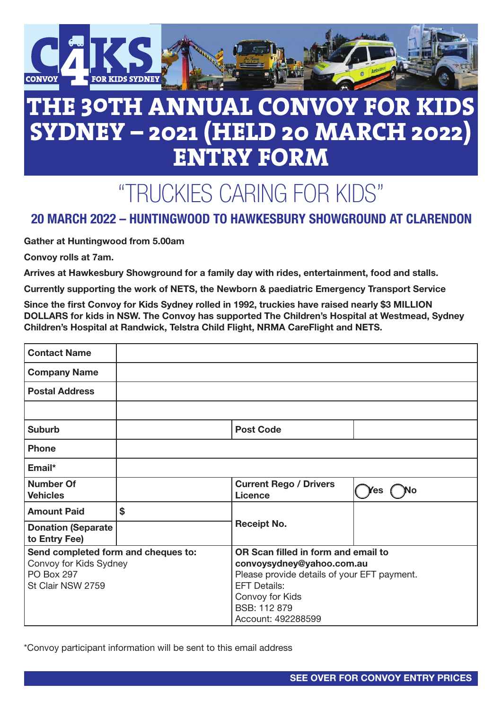

## **THE 30TH ANNUAL CONVOY FOR KIDS SYDNEY – 2021 (HELD 20 MARCH 2022) ENTRY FORM**

# "TRUCKIES CARING FOR KIDS"

### 20 MARCH 2022 – HUNTINGWOOD TO HAWKESBURY SHOWGROUND AT CLARENDON

Gather at Huntingwood from 5.00am

Convoy rolls at 7am.

Arrives at Hawkesbury Showground for a family day with rides, entertainment, food and stalls.

Currently supporting the work of NETS, the Newborn & paediatric Emergency Transport Service

Since the first Convoy for Kids Sydney rolled in 1992, truckies have raised nearly \$3 MILLION DOLLARS for kids in NSW. The Convoy has supported The Children's Hospital at Westmead, Sydney Children's Hospital at Randwick, Telstra Child Flight, NRMA CareFlight and NETS.

| <b>Contact Name</b>                        |    |                                                 |           |
|--------------------------------------------|----|-------------------------------------------------|-----------|
| <b>Company Name</b>                        |    |                                                 |           |
| <b>Postal Address</b>                      |    |                                                 |           |
|                                            |    |                                                 |           |
| <b>Suburb</b>                              |    | <b>Post Code</b>                                |           |
| <b>Phone</b>                               |    |                                                 |           |
| Email*                                     |    |                                                 |           |
| <b>Number Of</b><br><b>Vehicles</b>        |    | <b>Current Rego / Drivers</b><br><b>Licence</b> | Yes<br>No |
| <b>Amount Paid</b>                         | \$ | <b>Receipt No.</b>                              |           |
| <b>Donation (Separate</b><br>to Entry Fee) |    |                                                 |           |
| Send completed form and cheques to:        |    | OR Scan filled in form and email to             |           |
| Convoy for Kids Sydney                     |    | convoysydney@yahoo.com.au                       |           |
| <b>PO Box 297</b>                          |    | Please provide details of your EFT payment.     |           |
| St Clair NSW 2759                          |    | <b>EFT Details:</b>                             |           |
|                                            |    | Convoy for Kids                                 |           |
|                                            |    | BSB: 112 879                                    |           |
|                                            |    | Account: 492288599                              |           |

\*Convoy participant information will be sent to this email address